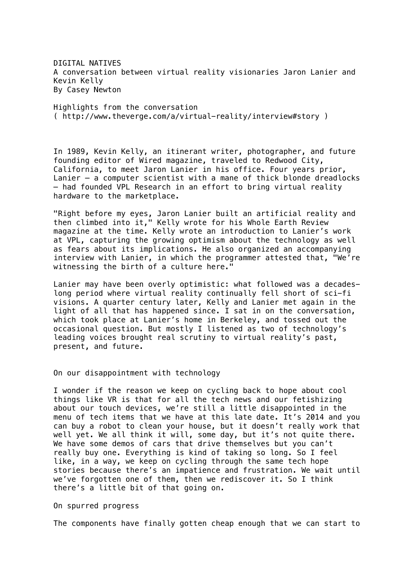DIGITAL NATIVES A conversation between virtual reality visionaries Jaron Lanier and Kevin Kelly By Casey Newton

Highlights from the conversation ( http://www.theverge.com/a/virtual-reality/interview#story )

In 1989, Kevin Kelly, an itinerant writer, photographer, and future founding editor of Wired magazine, traveled to Redwood City, California, to meet Jaron Lanier in his office. Four years prior, Lanier — a computer scientist with a mane of thick blonde dreadlocks — had founded VPL Research in an effort to bring virtual reality hardware to the marketplace.

"Right before my eyes, Jaron Lanier built an artificial reality and then climbed into it," Kelly wrote for his Whole Earth Review magazine at the time. Kelly wrote an introduction to Lanier's work at VPL, capturing the growing optimism about the technology as well as fears about its implications. He also organized an accompanying interview with Lanier, in which the programmer attested that, "We're witnessing the birth of a culture here."

Lanier may have been overly optimistic: what followed was a decadeslong period where virtual reality continually fell short of sci-fi visions. A quarter century later, Kelly and Lanier met again in the light of all that has happened since. I sat in on the conversation, which took place at Lanier's home in Berkeley, and tossed out the occasional question. But mostly I listened as two of technology's leading voices brought real scrutiny to virtual reality's past, present, and future.

On our disappointment with technology

I wonder if the reason we keep on cycling back to hope about cool things like VR is that for all the tech news and our fetishizing about our touch devices, we're still a little disappointed in the menu of tech items that we have at this late date. It's 2014 and you can buy a robot to clean your house, but it doesn't really work that well yet. We all think it will, some day, but it's not quite there. We have some demos of cars that drive themselves but you can't really buy one. Everything is kind of taking so long. So I feel like, in a way, we keep on cycling through the same tech hope stories because there's an impatience and frustration. We wait until we've forgotten one of them, then we rediscover it. So I think there's a little bit of that going on.

On spurred progress

The components have finally gotten cheap enough that we can start to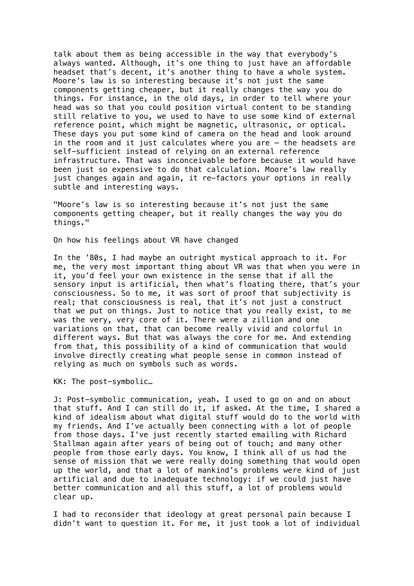talk about them as being accessible in the way that everybody's always wanted. Although, it's one thing to just have an affordable headset that's decent, it's another thing to have a whole system. Moore's law is so interesting because it's not just the same components getting cheaper, but it really changes the way you do things. For instance, in the old days, in order to tell where your head was so that you could position virtual content to be standing still relative to you, we used to have to use some kind of external reference point, which might be magnetic, ultrasonic, or optical. These days you put some kind of camera on the head and look around in the room and it just calculates where you are — the headsets are self-sufficient instead of relying on an external reference infrastructure. That was inconceivable before because it would have been just so expensive to do that calculation. Moore's law really just changes again and again, it re-factors your options in really subtle and interesting ways.

"Moore's law is so interesting because it's not just the same components getting cheaper, but it really changes the way you do things."

On how his feelings about VR have changed

In the '80s, I had maybe an outright mystical approach to it. For me, the very most important thing about VR was that when you were in it, you'd feel your own existence in the sense that if all the sensory input is artificial, then what's floating there, that's your consciousness. So to me, it was sort of proof that subjectivity is real; that consciousness is real, that it's not just a construct that we put on things. Just to notice that you really exist, to me was the very, very core of it. There were a zillion and one variations on that, that can become really vivid and colorful in different ways. But that was always the core for me. And extending from that, this possibility of a kind of communication that would involve directly creating what people sense in common instead of relying as much on symbols such as words.

KK: The post-symbolic…

J: Post-symbolic communication, yeah. I used to go on and on about that stuff. And I can still do it, if asked. At the time, I shared a kind of idealism about what digital stuff would do to the world with my friends. And I've actually been connecting with a lot of people from those days. I've just recently started emailing with Richard Stallman again after years of being out of touch; and many other people from those early days. You know, I think all of us had the sense of mission that we were really doing something that would open up the world, and that a lot of mankind's problems were kind of just artificial and due to inadequate technology: if we could just have better communication and all this stuff, a lot of problems would clear up.

I had to reconsider that ideology at great personal pain because I didn't want to question it. For me, it just took a lot of individual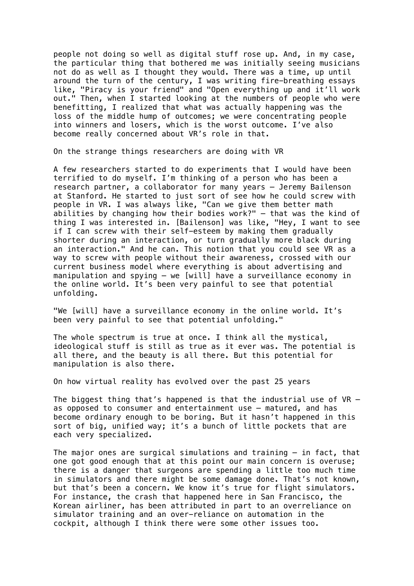people not doing so well as digital stuff rose up. And, in my case, the particular thing that bothered me was initially seeing musicians not do as well as I thought they would. There was a time, up until around the turn of the century, I was writing fire-breathing essays like, "Piracy is your friend" and "Open everything up and it'll work out." Then, when I started looking at the numbers of people who were benefitting, I realized that what was actually happening was the loss of the middle hump of outcomes; we were concentrating people into winners and losers, which is the worst outcome. I've also become really concerned about VR's role in that.

On the strange things researchers are doing with VR

A few researchers started to do experiments that I would have been terrified to do myself. I'm thinking of a person who has been a research partner, a collaborator for many years — Jeremy Bailenson at Stanford. He started to just sort of see how he could screw with people in VR. I was always like, "Can we give them better math abilities by changing how their bodies work?" — that was the kind of thing I was interested in. [Bailenson] was like, "Hey, I want to see if I can screw with their self-esteem by making them gradually shorter during an interaction, or turn gradually more black during an interaction." And he can. This notion that you could see VR as a way to screw with people without their awareness, crossed with our current business model where everything is about advertising and manipulation and spying — we [will] have a surveillance economy in the online world. It's been very painful to see that potential unfolding.

"We [will] have a surveillance economy in the online world. It's been very painful to see that potential unfolding."

The whole spectrum is true at once. I think all the mystical, ideological stuff is still as true as it ever was. The potential is all there, and the beauty is all there. But this potential for manipulation is also there.

On how virtual reality has evolved over the past 25 years

The biggest thing that's happened is that the industrial use of  $VR$ as opposed to consumer and entertainment use — matured, and has become ordinary enough to be boring. But it hasn't happened in this sort of big, unified way; it's a bunch of little pockets that are each very specialized.

The major ones are surgical simulations and training  $-$  in fact, that one got good enough that at this point our main concern is overuse; there is a danger that surgeons are spending a little too much time in simulators and there might be some damage done. That's not known, but that's been a concern. We know it's true for flight simulators. For instance, the crash that happened here in San Francisco, the Korean airliner, has been attributed in part to an overreliance on simulator training and an over-reliance on automation in the cockpit, although I think there were some other issues too.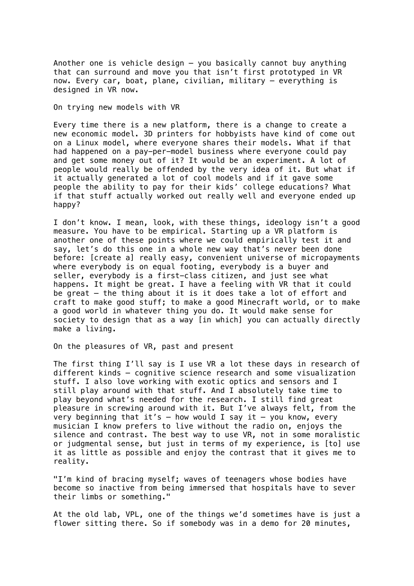Another one is vehicle design  $-$  you basically cannot buy anything that can surround and move you that isn't first prototyped in VR now. Every car, boat, plane, civilian, military — everything is designed in VR now.

On trying new models with VR

Every time there is a new platform, there is a change to create a new economic model. 3D printers for hobbyists have kind of come out on a Linux model, where everyone shares their models. What if that had happened on a pay-per-model business where everyone could pay and get some money out of it? It would be an experiment. A lot of people would really be offended by the very idea of it. But what if it actually generated a lot of cool models and if it gave some people the ability to pay for their kids' college educations? What if that stuff actually worked out really well and everyone ended up happy?

I don't know. I mean, look, with these things, ideology isn't a good measure. You have to be empirical. Starting up a VR platform is another one of these points where we could empirically test it and say, let's do this one in a whole new way that's never been done before: [create a] really easy, convenient universe of micropayments where everybody is on equal footing, everybody is a buyer and seller, everybody is a first-class citizen, and just see what happens. It might be great. I have a feeling with VR that it could be great — the thing about it is it does take a lot of effort and craft to make good stuff; to make a good Minecraft world, or to make a good world in whatever thing you do. It would make sense for society to design that as a way [in which] you can actually directly make a living.

On the pleasures of VR, past and present

The first thing I'll say is I use VR a lot these days in research of different kinds — cognitive science research and some visualization stuff. I also love working with exotic optics and sensors and I still play around with that stuff. And I absolutely take time to play beyond what's needed for the research. I still find great pleasure in screwing around with it. But I've always felt, from the very beginning that it's  $-$  how would I say it  $-$  you know, every musician I know prefers to live without the radio on, enjoys the silence and contrast. The best way to use VR, not in some moralistic or judgmental sense, but just in terms of my experience, is [to] use it as little as possible and enjoy the contrast that it gives me to reality.

"I'm kind of bracing myself; waves of teenagers whose bodies have become so inactive from being immersed that hospitals have to sever their limbs or something."

At the old lab, VPL, one of the things we'd sometimes have is just a flower sitting there. So if somebody was in a demo for 20 minutes,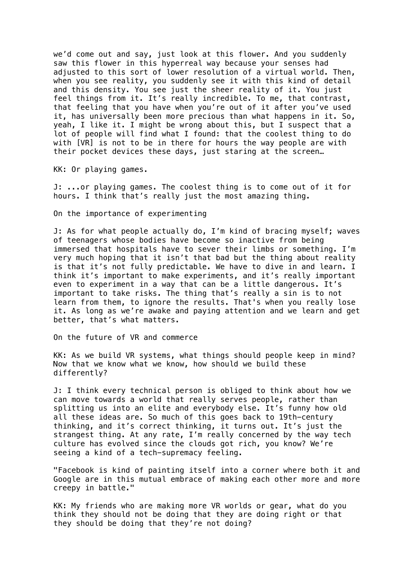we'd come out and say, just look at this flower. And you suddenly saw this flower in this hyperreal way because your senses had adjusted to this sort of lower resolution of a virtual world. Then, when you see reality, you suddenly see it with this kind of detail and this density. You see just the sheer reality of it. You just feel things from it. It's really incredible. To me, that contrast, that feeling that you have when you're out of it after you've used it, has universally been more precious than what happens in it. So, yeah, I like it. I might be wrong about this, but I suspect that a lot of people will find what I found: that the coolest thing to do with [VR] is not to be in there for hours the way people are with their pocket devices these days, just staring at the screen…

KK: Or playing games.

J: ...or playing games. The coolest thing is to come out of it for hours. I think that's really just the most amazing thing.

On the importance of experimenting

J: As for what people actually do, I'm kind of bracing myself; waves of teenagers whose bodies have become so inactive from being immersed that hospitals have to sever their limbs or something. I'm very much hoping that it isn't that bad but the thing about reality is that it's not fully predictable. We have to dive in and learn. I think it's important to make experiments, and it's really important even to experiment in a way that can be a little dangerous. It's important to take risks. The thing that's really a sin is to not learn from them, to ignore the results. That's when you really lose it. As long as we're awake and paying attention and we learn and get better, that's what matters.

On the future of VR and commerce

KK: As we build VR systems, what things should people keep in mind? Now that we know what we know, how should we build these differently?

J: I think every technical person is obliged to think about how we can move towards a world that really serves people, rather than splitting us into an elite and everybody else. It's funny how old all these ideas are. So much of this goes back to 19th-century thinking, and it's correct thinking, it turns out. It's just the strangest thing. At any rate, I'm really concerned by the way tech culture has evolved since the clouds got rich, you know? We're seeing a kind of a tech-supremacy feeling.

"Facebook is kind of painting itself into a corner where both it and Google are in this mutual embrace of making each other more and more creepy in battle."

KK: My friends who are making more VR worlds or gear, what do you think they should not be doing that they are doing right or that they should be doing that they're not doing?